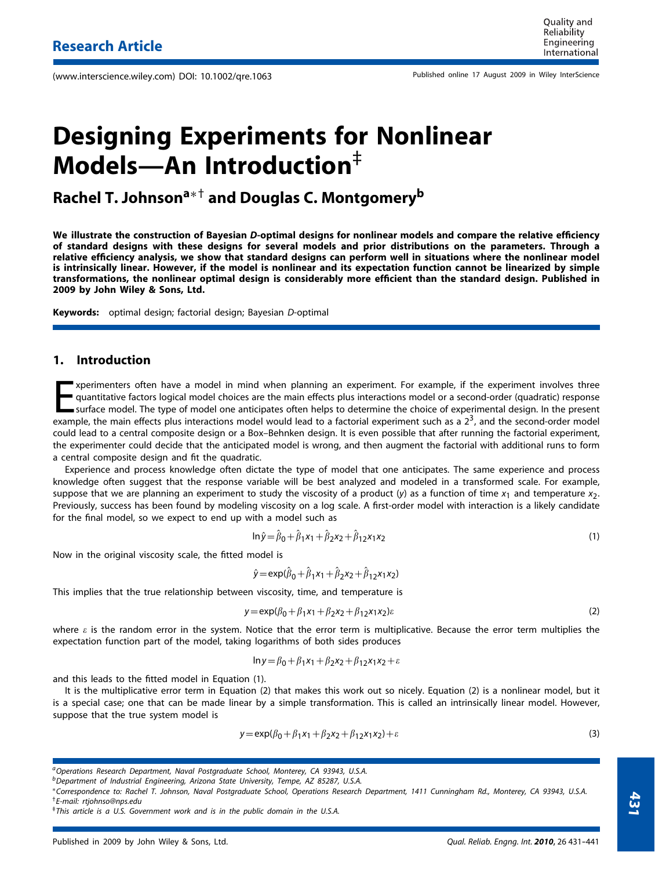Published online 17 August 2009 in Wiley InterScience (www.interscience.wiley.com) DOI: 10.1002/qre.1063

# **Designing Experiments for Nonlinear Models—An Introduction**‡

**Rachel T. Johnsona**∗† **and Douglas C. Montgomeryb**

**We illustrate the construction of Bayesian** *D***-optimal designs for nonlinear models and compare the relative efficiency of standard designs with these designs for several models and prior distributions on the parameters. Through a relative efficiency analysis, we show that standard designs can perform well in situations where the nonlinear model is intrinsically linear. However, if the model is nonlinear and its expectation function cannot be linearized by simple transformations, the nonlinear optimal design is considerably more efficient than the standard design. Published in 2009 by John Wiley & Sons, Ltd.**

**Keywords:** optimal design; factorial design; Bayesian *D*-optimal

# **1. Introduction**

Experimenters often have a model in mind when planning an experiment. For example, if the experiment involves three quantitative factors logical model choices are the main effects plus interactions model or a second-order xperimenters often have a model in mind when planning an experiment. For example, if the experiment involves three quantitative factors logical model choices are the main effects plus interactions model or a second-order (quadratic) response surface model. The type of model one anticipates often helps to determine the choice of experimental design. In the present could lead to a central composite design or a Box–Behnken design. It is even possible that after running the factorial experiment, the experimenter could decide that the anticipated model is wrong, and then augment the factorial with additional runs to form a central composite design and fit the quadratic.

Experience and process knowledge often dictate the type of model that one anticipates. The same experience and process knowledge often suggest that the response variable will be best analyzed and modeled in a transformed scale. For example, suppose that we are planning an experiment to study the viscosity of a product (*y*) as a function of time  $x_1$  and temperature  $x_2$ . Previously, success has been found by modeling viscosity on a log scale. A first-order model with interaction is a likely candidate for the final model, so we expect to end up with a model such as

$$
\ln \hat{y} = \hat{\beta}_0 + \hat{\beta}_1 x_1 + \hat{\beta}_2 x_2 + \hat{\beta}_{12} x_1 x_2 \tag{1}
$$

Now in the original viscosity scale, the fitted model is

$$
\hat{y} = \exp(\hat{\beta}_0 + \hat{\beta}_1 x_1 + \hat{\beta}_2 x_2 + \hat{\beta}_1 z_1 x_2)
$$

This implies that the true relationship between viscosity, time, and temperature is

$$
y = \exp(\beta_0 + \beta_1 x_1 + \beta_2 x_2 + \beta_{12} x_1 x_2)\varepsilon
$$
 (2)

where  $\varepsilon$  is the random error in the system. Notice that the error term is multiplicative. Because the error term multiplies the expectation function part of the model, taking logarithms of both sides produces

$$
\ln y = \beta_0 + \beta_1 x_1 + \beta_2 x_2 + \beta_{12} x_1 x_2 + \varepsilon
$$

and this leads to the fitted model in Equation (1).

It is the multiplicative error term in Equation (2) that makes this work out so nicely. Equation (2) is a nonlinear model, but it is a special case; one that can be made linear by a simple transformation. This is called an intrinsically linear model. However, suppose that the true system model is

$$
y = \exp(\beta_0 + \beta_1 x_1 + \beta_2 x_2 + \beta_1 x_1 x_2) + \varepsilon
$$
\n(3)

*aOperations Research Department, Naval Postgraduate School, Monterey, CA 93943, U.S.A.*

*bDepartment of Industrial Engineering, Arizona State University, Tempe, AZ 85287, U.S.A.*

<sup>∗</sup>*Correspondence to: Rachel T. Johnson, Naval Postgraduate School, Operations Research Department, 1411 Cunningham Rd., Monterey, CA 93943, U.S.A.* †*E-mail: rtjohnso@nps.edu*

<sup>‡</sup>*This article is a U.S. Government work and is in the public domain in the U.S.A.*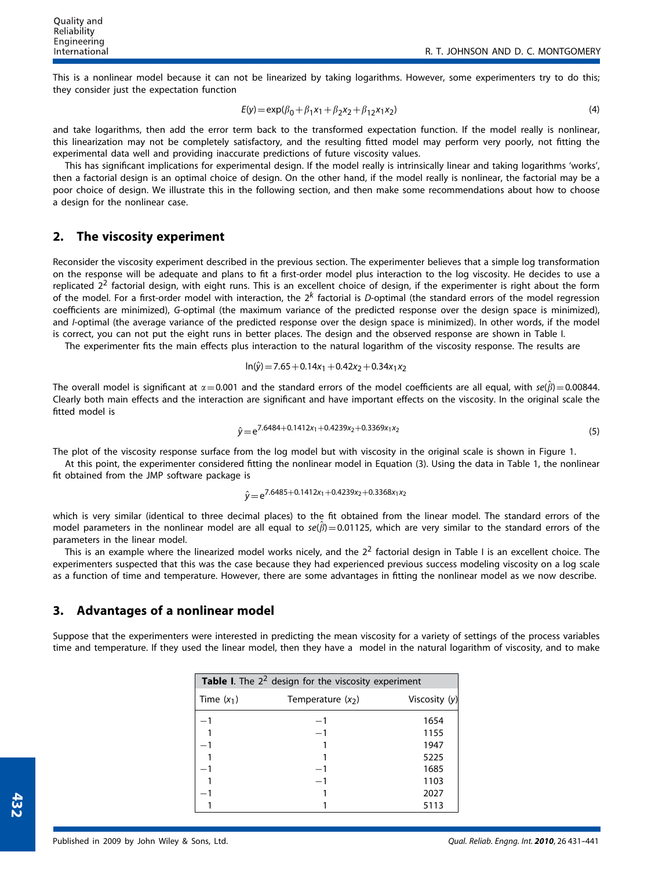This is a nonlinear model because it can not be linearized by taking logarithms. However, some experimenters try to do this; they consider just the expectation function

$$
E(y) = \exp(\beta_0 + \beta_1 x_1 + \beta_2 x_2 + \beta_{12} x_1 x_2)
$$
\n(4)

and take logarithms, then add the error term back to the transformed expectation function. If the model really is nonlinear, this linearization may not be completely satisfactory, and the resulting fitted model may perform very poorly, not fitting the experimental data well and providing inaccurate predictions of future viscosity values.

This has significant implications for experimental design. If the model really is intrinsically linear and taking logarithms 'works', then a factorial design is an optimal choice of design. On the other hand, if the model really is nonlinear, the factorial may be a poor choice of design. We illustrate this in the following section, and then make some recommendations about how to choose a design for the nonlinear case.

#### **2. The viscosity experiment**

Reconsider the viscosity experiment described in the previous section. The experimenter believes that a simple log transformation on the response will be adequate and plans to fit a first-order model plus interaction to the log viscosity. He decides to use a replicated  $2<sup>2</sup>$  factorial design, with eight runs. This is an excellent choice of design, if the experimenter is right about the form of the model. For a first-order model with interaction, the 2*<sup>k</sup>* factorial is *D*-optimal (the standard errors of the model regression coefficients are minimized), *G*-optimal (the maximum variance of the predicted response over the design space is minimized), and *I*-optimal (the average variance of the predicted response over the design space is minimized). In other words, if the model is correct, you can not put the eight runs in better places. The design and the observed response are shown in Table I.

The experimenter fits the main effects plus interaction to the natural logarithm of the viscosity response. The results are

$$
In(\hat{y}) = 7.65 + 0.14x_1 + 0.42x_2 + 0.34x_1x_2
$$

The overall model is significant at  $\alpha = 0.001$  and the standard errors of the model coefficients are all equal, with  $se(\beta) = 0.00844$ . Clearly both main effects and the interaction are significant and have important effects on the viscosity. In the original scale the fitted model is

$$
\hat{y} = e^{7.6484 + 0.1412x_1 + 0.4239x_2 + 0.3369x_1x_2}
$$
\n(5)

The plot of the viscosity response surface from the log model but with viscosity in the original scale is shown in Figure 1.

At this point, the experimenter considered fitting the nonlinear model in Equation (3). Using the data in Table 1, the nonlinear fit obtained from the JMP software package is

$$
\hat{y} = e^{7.6485 + 0.1412x_1 + 0.4239x_2 + 0.3368x_1x_2}
$$

which is very similar (identical to three decimal places) to the fit obtained from the linear model. The standard errors of the model parameters in the nonlinear model are all equal to  $se(\beta)=0.01125$ , which are very similar to the standard errors of the parameters in the linear model.

This is an example where the linearized model works nicely, and the  $2<sup>2</sup>$  factorial design in Table I is an excellent choice. The experimenters suspected that this was the case because they had experienced previous success modeling viscosity on a log scale as a function of time and temperature. However, there are some advantages in fitting the nonlinear model as we now describe.

#### **3. Advantages of a nonlinear model**

Suppose that the experimenters were interested in predicting the mean viscosity for a variety of settings of the process variables time and temperature. If they used the linear model, then they have a model in the natural logarithm of viscosity, and to make

| Table I. The $22$ design for the viscosity experiment |                     |               |  |  |
|-------------------------------------------------------|---------------------|---------------|--|--|
| Time $(x_1)$                                          | Temperature $(x_2)$ | Viscosity (y) |  |  |
|                                                       |                     | 1654          |  |  |
|                                                       |                     | 1155          |  |  |
|                                                       |                     | 1947          |  |  |
|                                                       |                     | 5225          |  |  |
|                                                       |                     | 1685          |  |  |
|                                                       |                     | 1103          |  |  |
|                                                       |                     | 2027          |  |  |
|                                                       |                     | 5113          |  |  |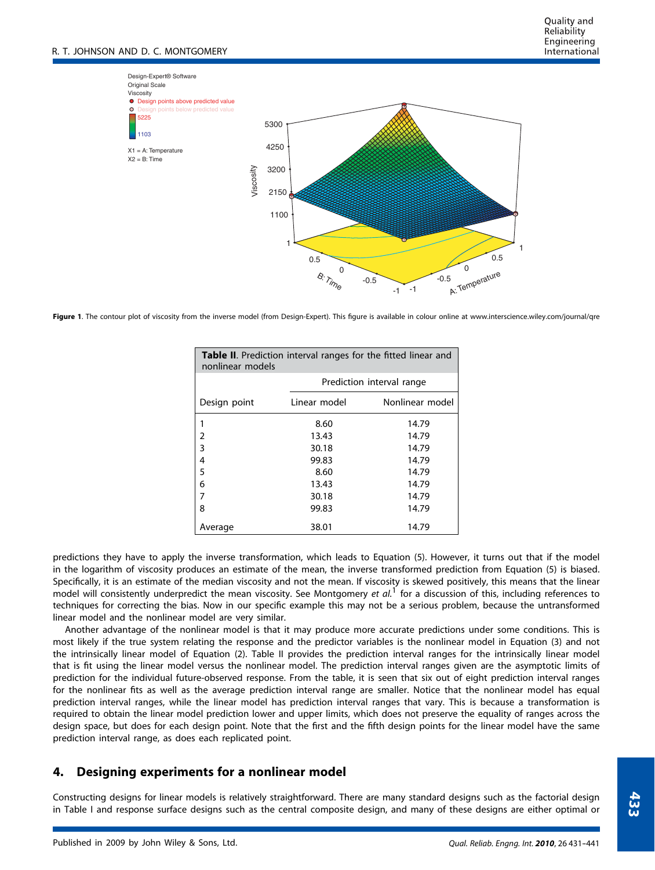

**Figure 1**. The contour plot of viscosity from the inverse model (from Design-Expert). This figure is available in colour online at www.interscience.wiley.com/journal/qre

| <b>Table II.</b> Prediction interval ranges for the fitted linear and<br>nonlinear models |              |                           |  |  |  |  |  |
|-------------------------------------------------------------------------------------------|--------------|---------------------------|--|--|--|--|--|
|                                                                                           |              | Prediction interval range |  |  |  |  |  |
| Design point                                                                              | Linear model | Nonlinear model           |  |  |  |  |  |
| 1                                                                                         | 8.60         | 14.79                     |  |  |  |  |  |
| 2                                                                                         | 13.43        | 14.79                     |  |  |  |  |  |
| 3                                                                                         | 30.18        | 14.79                     |  |  |  |  |  |
| 4                                                                                         | 99.83        | 14.79                     |  |  |  |  |  |
| 5                                                                                         | 8.60         | 14.79                     |  |  |  |  |  |
| 6                                                                                         | 13.43        | 14.79                     |  |  |  |  |  |
| 7                                                                                         | 30.18        | 14.79                     |  |  |  |  |  |
| 8                                                                                         | 99.83        | 14.79                     |  |  |  |  |  |
| Average                                                                                   | 38.01        | 14.79                     |  |  |  |  |  |

predictions they have to apply the inverse transformation, which leads to Equation (5). However, it turns out that if the model in the logarithm of viscosity produces an estimate of the mean, the inverse transformed prediction from Equation (5) is biased. Specifically, it is an estimate of the median viscosity and not the mean. If viscosity is skewed positively, this means that the linear model will consistently underpredict the mean viscosity. See Montgomery *et al.*<sup>1</sup> for a discussion of this, including references to techniques for correcting the bias. Now in our specific example this may not be a serious problem, because the untransformed linear model and the nonlinear model are very similar.

Another advantage of the nonlinear model is that it may produce more accurate predictions under some conditions. This is most likely if the true system relating the response and the predictor variables is the nonlinear model in Equation (3) and not the intrinsically linear model of Equation (2). Table II provides the prediction interval ranges for the intrinsically linear model that is fit using the linear model versus the nonlinear model. The prediction interval ranges given are the asymptotic limits of prediction for the individual future-observed response. From the table, it is seen that six out of eight prediction interval ranges for the nonlinear fits as well as the average prediction interval range are smaller. Notice that the nonlinear model has equal prediction interval ranges, while the linear model has prediction interval ranges that vary. This is because a transformation is required to obtain the linear model prediction lower and upper limits, which does not preserve the equality of ranges across the design space, but does for each design point. Note that the first and the fifth design points for the linear model have the same prediction interval range, as does each replicated point.

### **4. Designing experiments for a nonlinear model**

Constructing designs for linear models is relatively straightforward. There are many standard designs such as the factorial design in Table I and response surface designs such as the central composite design, and many of these designs are either optimal or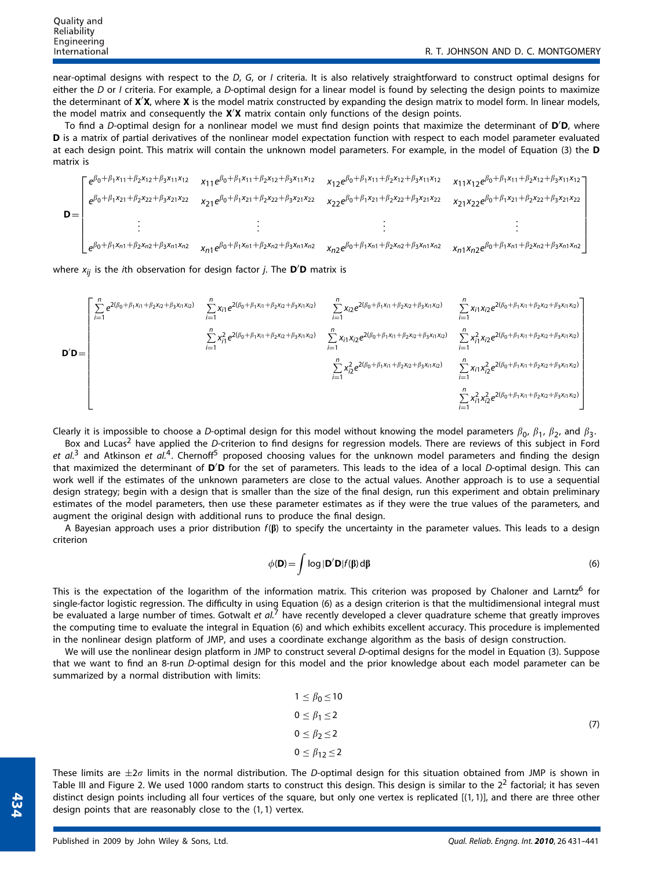near-optimal designs with respect to the *D*, *G*, or *I* criteria. It is also relatively straightforward to construct optimal designs for either the *D* or *I* criteria. For example, a *D*-optimal design for a linear model is found by selecting the design points to maximize the determinant of **X X**, where **X** is the model matrix constructed by expanding the design matrix to model form. In linear models, the model matrix and consequently the **X X** matrix contain only functions of the design points.

To find a *D*-optimal design for a nonlinear model we must find design points that maximize the determinant of **D D**, where **D** is a matrix of partial derivatives of the nonlinear model expectation function with respect to each model parameter evaluated at each design point. This matrix will contain the unknown model parameters. For example, in the model of Equation (3) the **D** matrix is



where *xij* is the *i*th observation for design factor *j*. The **D D** matrix is

$$
\mathbf{D}'\mathbf{D} = \begin{bmatrix} \sum_{i=1}^{n} e^{2(\beta_0 + \beta_1 x_{i1} + \beta_2 x_{i2} + \beta_3 x_{i1} x_{i2})} & \sum_{i=1}^{n} x_{i1} e^{2(\beta_0 + \beta_1 x_{i1} + \beta_2 x_{i2} + \beta_3 x_{i1} x_{i2})} & \sum_{i=1}^{n} x_{i2} e^{2(\beta_0 + \beta_1 x_{i1} + \beta_2 x_{i2} + \beta_3 x_{i1} x_{i2})} & \sum_{i=1}^{n} x_{i1} x_{i2} e^{2(\beta_0 + \beta_1 x_{i1} + \beta_2 x_{i2} + \beta_3 x_{i1} x_{i2})} \\ & \sum_{i=1}^{n} x_{i1}^2 e^{2(\beta_0 + \beta_1 x_{i1} + \beta_2 x_{i2} + \beta_3 x_{i1} x_{i2})} & \sum_{i=1}^{n} x_{i1} x_{i2} e^{2(\beta_0 + \beta_1 x_{i1} + \beta_2 x_{i2} + \beta_3 x_{i1} x_{i2})} & \sum_{i=1}^{n} x_{i1}^2 x_{i2} e^{2(\beta_0 + \beta_1 x_{i1} + \beta_2 x_{i2} + \beta_3 x_{i1} x_{i2})} \\ & \sum_{i=1}^{n} x_{i2}^2 e^{2(\beta_0 + \beta_1 x_{i1} + \beta_2 x_{i2} + \beta_3 x_{i1} x_{i2})} & \sum_{i=1}^{n} x_{i1} x_{i2}^2 e^{2(\beta_0 + \beta_1 x_{i1} + \beta_2 x_{i2} + \beta_3 x_{i1} x_{i2})} \\ & \sum_{i=1}^{n} x_{i1}^2 x_{i2}^2 e^{2(\beta_0 + \beta_1 x_{i1} + \beta_2 x_{i2} + \beta_3 x_{i1} x_{i2})} & \sum_{i=1}^{n} x_{i1}^2 x_{i2}^2 e^{2(\beta_0 + \beta_1 x_{i1} + \beta_2 x_{i2} + \beta_3 x_{i1} x_{i2})} \\ & \sum_{i=1}^{n} x_{i1}^2 x_{i2}^2 e^{2(\beta_0 + \beta_1 x_{i1} + \beta_2 x
$$

Clearly it is impossible to choose a D-optimal design for this model without knowing the model parameters  $\beta_0$ ,  $\beta_1$ ,  $\beta_2$ , and  $\beta_3$ .

Box and Lucas<sup>2</sup> have applied the *D*-criterion to find designs for regression models. There are reviews of this subject in Ford et al.<sup>3</sup> and Atkinson et al.<sup>4</sup>. Chernoff<sup>5</sup> proposed choosing values for the unknown model parameters and finding the design that maximized the determinant of **D D** for the set of parameters. This leads to the idea of a local *D*-optimal design. This can work well if the estimates of the unknown parameters are close to the actual values. Another approach is to use a sequential design strategy; begin with a design that is smaller than the size of the final design, run this experiment and obtain preliminary estimates of the model parameters, then use these parameter estimates as if they were the true values of the parameters, and augment the original design with additional runs to produce the final design.

A Bayesian approach uses a prior distribution *f*(**b**) to specify the uncertainty in the parameter values. This leads to a design criterion

$$
\phi(\mathbf{D}) = \int \log |\mathbf{D}' \mathbf{D}| f(\beta) d\beta
$$
\n(6)

This is the expectation of the logarithm of the information matrix. This criterion was proposed by Chaloner and Larntz<sup>6</sup> for single-factor logistic regression. The difficulty in using Equation (6) as a design criterion is that the multidimensional integral must be evaluated a large number of times. Gotwalt *et al.*<sup>7</sup> have recently developed a clever quadrature scheme that greatly improves the computing time to evaluate the integral in Equation (6) and which exhibits excellent accuracy. This procedure is implemented in the nonlinear design platform of JMP, and uses a coordinate exchange algorithm as the basis of design construction.

We will use the nonlinear design platform in JMP to construct several *D*-optimal designs for the model in Equation (3). Suppose that we want to find an 8-run *D*-optimal design for this model and the prior knowledge about each model parameter can be summarized by a normal distribution with limits:

$$
1 \leq \beta_0 \leq 10
$$
  
\n
$$
0 \leq \beta_1 \leq 2
$$
  
\n
$$
0 \leq \beta_2 \leq 2
$$
  
\n
$$
0 \leq \beta_{12} \leq 2
$$
  
\n(7)

These limits are  $\pm 2\sigma$  limits in the normal distribution. The *D*-optimal design for this situation obtained from JMP is shown in Table III and Figure 2. We used 1000 random starts to construct this design. This design is similar to the  $2<sup>2</sup>$  factorial; it has seven distinct design points including all four vertices of the square, but only one vertex is replicated [(1*,*1)], and there are three other design points that are reasonably close to the (1*,*1) vertex.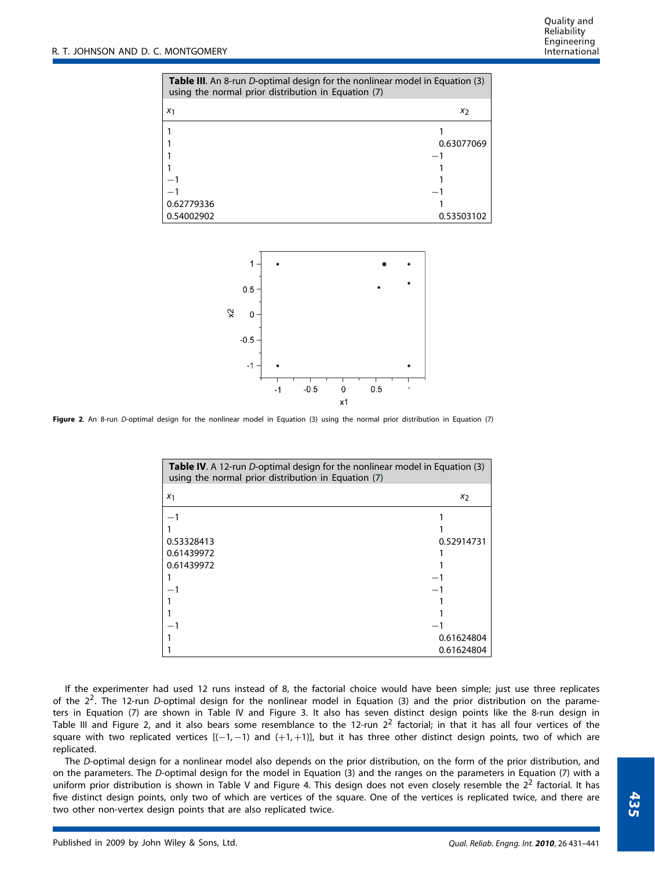| Table III. An 8-run D-optimal design for the nonlinear model in Equation (3)<br>using the normal prior distribution in Equation (7) |            |  |  |
|-------------------------------------------------------------------------------------------------------------------------------------|------------|--|--|
| X <sub>1</sub>                                                                                                                      | X7         |  |  |
|                                                                                                                                     |            |  |  |
|                                                                                                                                     | 0.63077069 |  |  |
|                                                                                                                                     |            |  |  |
|                                                                                                                                     |            |  |  |
|                                                                                                                                     |            |  |  |
|                                                                                                                                     |            |  |  |
| 0.62779336                                                                                                                          |            |  |  |
| 0.54002902                                                                                                                          | 0.53503102 |  |  |



**Figure 2**. An 8-run *D*-optimal design for the nonlinear model in Equation (3) using the normal prior distribution in Equation (7)

| Table IV. A 12-run D-optimal design for the nonlinear model in Equation (3)<br>using the normal prior distribution in Equation (7) |                |  |  |
|------------------------------------------------------------------------------------------------------------------------------------|----------------|--|--|
| X <sub>1</sub>                                                                                                                     | x <sub>2</sub> |  |  |
|                                                                                                                                    |                |  |  |
|                                                                                                                                    |                |  |  |
| 0.53328413                                                                                                                         | 0.52914731     |  |  |
| 0.61439972                                                                                                                         |                |  |  |
| 0.61439972                                                                                                                         |                |  |  |
|                                                                                                                                    |                |  |  |
|                                                                                                                                    |                |  |  |
|                                                                                                                                    |                |  |  |
|                                                                                                                                    |                |  |  |
|                                                                                                                                    |                |  |  |
|                                                                                                                                    | 0.61624804     |  |  |
|                                                                                                                                    | 0.61624804     |  |  |

If the experimenter had used 12 runs instead of 8, the factorial choice would have been simple; just use three replicates of the 2<sup>2</sup>. The 12-run *D*-optimal design for the nonlinear model in Equation (3) and the prior distribution on the parameters in Equation (7) are shown in Table IV and Figure 3. It also has seven distinct design points like the 8-run design in Table III and Figure 2, and it also bears some resemblance to the 12-run 22 factorial; in that it has all four vertices of the square with two replicated vertices [(-1,-1) and (+1,+1)], but it has three other distinct design points, two of which are replicated.

The *D*-optimal design for a nonlinear model also depends on the prior distribution, on the form of the prior distribution, and on the parameters. The *D*-optimal design for the model in Equation (3) and the ranges on the parameters in Equation (7) with a uniform prior distribution is shown in Table V and Figure 4. This design does not even closely resemble the  $2^2$  factorial. It has five distinct design points, only two of which are vertices of the square. One of the vertices is replicated twice, and there are two other non-vertex design points that are also replicated twice.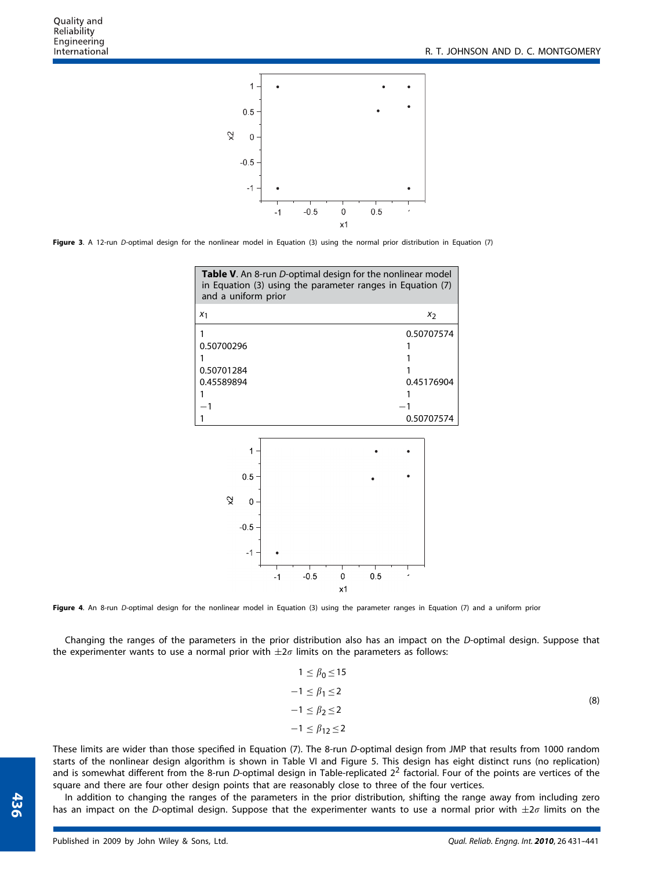

**Figure 3**. A 12-run *D*-optimal design for the nonlinear model in Equation (3) using the normal prior distribution in Equation (7)



Figure 4. An 8-run *D*-optimal design for the nonlinear model in Equation (3) using the parameter ranges in Equation (7) and a uniform prior

Changing the ranges of the parameters in the prior distribution also has an impact on the *D*-optimal design. Suppose that the experimenter wants to use a normal prior with  $\pm 2\sigma$  limits on the parameters as follows:

$$
1 \leq \beta_0 \leq 15
$$
  
\n
$$
-1 \leq \beta_1 \leq 2
$$
  
\n
$$
-1 \leq \beta_2 \leq 2
$$
  
\n
$$
-1 \leq \beta_{12} \leq 2
$$
  
\n(8)

These limits are wider than those specified in Equation (7). The 8-run *D*-optimal design from JMP that results from 1000 random starts of the nonlinear design algorithm is shown in Table VI and Figure 5. This design has eight distinct runs (no replication) and is somewhat different from the 8-run *D*-optimal design in Table-replicated 2<sup>2</sup> factorial. Four of the points are vertices of the square and there are four other design points that are reasonably close to three of the four vertices.

In addition to changing the ranges of the parameters in the prior distribution, shifting the range away from including zero has an impact on the *D*-optimal design. Suppose that the experimenter wants to use a normal prior with  $\pm 2\sigma$  limits on the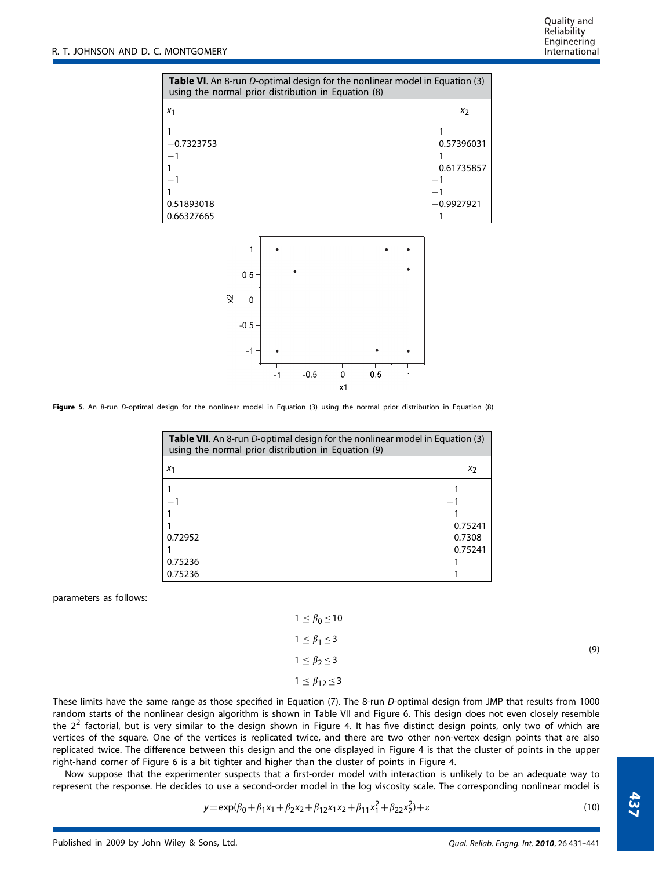| Table VI. An 8-run D-optimal design for the nonlinear model in Equation (3)<br>using the normal prior distribution in Equation (8) |                                          |  |  |  |
|------------------------------------------------------------------------------------------------------------------------------------|------------------------------------------|--|--|--|
| $x_1$                                                                                                                              | $x_2$                                    |  |  |  |
| $-0.7323753$<br>0.51893018<br>0.66327665                                                                                           | 0.57396031<br>0.61735857<br>$-0.9927921$ |  |  |  |
| 1<br>0.5<br>়ু<br>0                                                                                                                |                                          |  |  |  |



**Figure 5**. An 8-run *D*-optimal design for the nonlinear model in Equation (3) using the normal prior distribution in Equation (8)

 $\mathbf 0$ 

| Table VII. An 8-run D-optimal design for the nonlinear model in Equation (3)<br>using the normal prior distribution in Equation (9) |         |  |  |
|-------------------------------------------------------------------------------------------------------------------------------------|---------|--|--|
| X <sub>1</sub>                                                                                                                      | $x_2$   |  |  |
|                                                                                                                                     |         |  |  |
|                                                                                                                                     |         |  |  |
|                                                                                                                                     |         |  |  |
|                                                                                                                                     | 0.75241 |  |  |
| 0.72952                                                                                                                             | 0.7308  |  |  |
|                                                                                                                                     | 0.75241 |  |  |
| 0.75236                                                                                                                             |         |  |  |
| 0.75236                                                                                                                             |         |  |  |

parameters as follows:

| $1 \leq \beta_0 \leq 10$   |     |
|----------------------------|-----|
| $1 \leq \beta_1 \leq 3$    | (9) |
| $1 \leq \beta_2 \leq 3$    |     |
| $1 \leq \beta_{12} \leq 3$ |     |

These limits have the same range as those specified in Equation (7). The 8-run *D*-optimal design from JMP that results from 1000 random starts of the nonlinear design algorithm is shown in Table VII and Figure 6. This design does not even closely resemble the  $2<sup>2</sup>$  factorial, but is very similar to the design shown in Figure 4. It has five distinct design points, only two of which are vertices of the square. One of the vertices is replicated twice, and there are two other non-vertex design points that are also replicated twice. The difference between this design and the one displayed in Figure 4 is that the cluster of points in the upper right-hand corner of Figure 6 is a bit tighter and higher than the cluster of points in Figure 4.

Now suppose that the experimenter suspects that a first-order model with interaction is unlikely to be an adequate way to represent the response. He decides to use a second-order model in the log viscosity scale. The corresponding nonlinear model is

$$
y = \exp(\beta_0 + \beta_1 x_1 + \beta_2 x_2 + \beta_{12} x_1 x_2 + \beta_{11} x_1^2 + \beta_{22} x_2^2) + \varepsilon
$$
\n(10)

**437**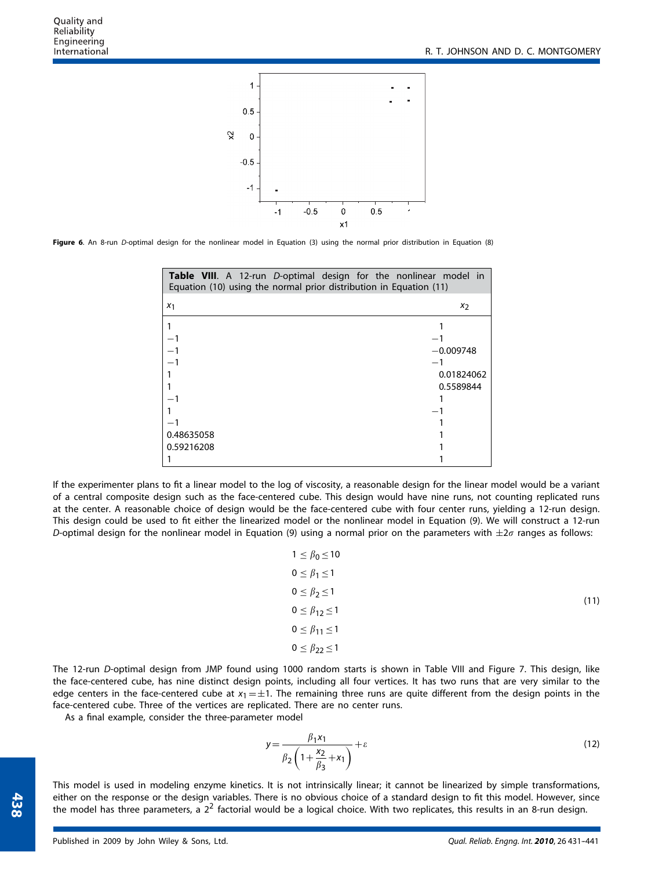

**Figure 6**. An 8-run *D*-optimal design for the nonlinear model in Equation (3) using the normal prior distribution in Equation (8)

| <b>Table VIII.</b> A 12-run D-optimal design for the nonlinear model in<br>Equation (10) using the normal prior distribution in Equation (11) |             |
|-----------------------------------------------------------------------------------------------------------------------------------------------|-------------|
| X <sub>1</sub>                                                                                                                                | $x_2$       |
|                                                                                                                                               |             |
|                                                                                                                                               |             |
|                                                                                                                                               | $-0.009748$ |
|                                                                                                                                               |             |
|                                                                                                                                               | 0.01824062  |
|                                                                                                                                               | 0.5589844   |
|                                                                                                                                               |             |
|                                                                                                                                               |             |
|                                                                                                                                               |             |
| 0.48635058                                                                                                                                    |             |
| 0.59216208                                                                                                                                    |             |
|                                                                                                                                               |             |

If the experimenter plans to fit a linear model to the log of viscosity, a reasonable design for the linear model would be a variant of a central composite design such as the face-centered cube. This design would have nine runs, not counting replicated runs at the center. A reasonable choice of design would be the face-centered cube with four center runs, yielding a 12-run design. This design could be used to fit either the linearized model or the nonlinear model in Equation (9). We will construct a 12-run *D*-optimal design for the nonlinear model in Equation (9) using a normal prior on the parameters with  $\pm 2\sigma$  ranges as follows:

| $1 \leq \beta_0 \leq 10$   |      |
|----------------------------|------|
| $0 \leq \beta_1 \leq 1$    |      |
| $0 \leq \beta_2 \leq 1$    | (11) |
| $0 \leq \beta_{12} \leq 1$ |      |
| $0 \leq \beta_{11} \leq 1$ |      |
| $0 \leq \beta_{22} \leq 1$ |      |

The 12-run *D*-optimal design from JMP found using 1000 random starts is shown in Table VIII and Figure 7. This design, like the face-centered cube, has nine distinct design points, including all four vertices. It has two runs that are very similar to the edge centers in the face-centered cube at  $x_1 = \pm 1$ . The remaining three runs are quite different from the design points in the face-centered cube. Three of the vertices are replicated. There are no center runs.

As a final example, consider the three-parameter model

$$
y = \frac{\beta_1 x_1}{\beta_2 \left(1 + \frac{x_2}{\beta_3} + x_1\right)} + \varepsilon
$$
\n<sup>(12)</sup>

This model is used in modeling enzyme kinetics. It is not intrinsically linear; it cannot be linearized by simple transformations, either on the response or the design variables. There is no obvious choice of a standard design to fit this model. However, since the model has three parameters, a  $2^2$  factorial would be a logical choice. With two replicates, this results in an 8-run design.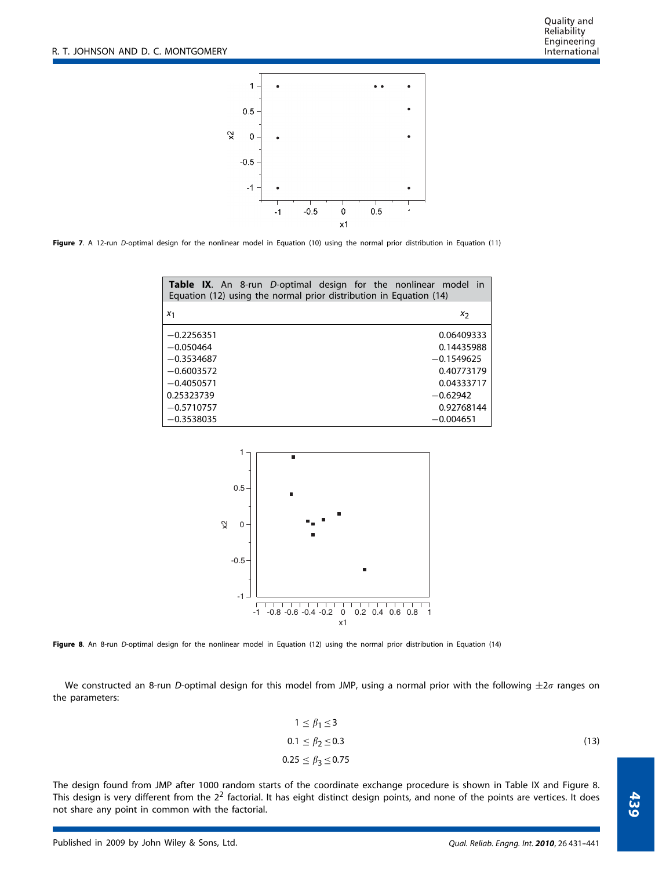Quality and Reliability Engineering International



**Figure 7**. A 12-run *D*-optimal design for the nonlinear model in Equation (10) using the normal prior distribution in Equation (11)

| Equation (12) using the normal prior distribution in Equation (14) | <b>Table IX.</b> An 8-run D-optimal design for the nonlinear model in |
|--------------------------------------------------------------------|-----------------------------------------------------------------------|
| X <sub>1</sub>                                                     | X7                                                                    |
| $-0.2256351$                                                       | 0.06409333                                                            |
| $-0.050464$                                                        | 0.14435988                                                            |
| $-0.3534687$                                                       | $-0.1549625$                                                          |
| $-0.6003572$                                                       | 0.40773179                                                            |
| $-0.4050571$                                                       | 0.04333717                                                            |
| 0.25323739                                                         | $-0.62942$                                                            |
| $-0.5710757$                                                       | 0.92768144                                                            |
| $-0.3538035$                                                       | $-0.004651$                                                           |



**Figure 8**. An 8-run *D*-optimal design for the nonlinear model in Equation (12) using the normal prior distribution in Equation (14)

We constructed an 8-run *D*-optimal design for this model from JMP, using a normal prior with the following  $\pm 2\sigma$  ranges on the parameters:

$$
1 \le \beta_1 \le 3
$$
  
0.1 \le \beta\_2 \le 0.3  
0.25 \le \beta\_3 \le 0.75 (13)

The design found from JMP after 1000 random starts of the coordinate exchange procedure is shown in Table IX and Figure 8. This design is very different from the  $2<sup>2</sup>$  factorial. It has eight distinct design points, and none of the points are vertices. It does not share any point in common with the factorial.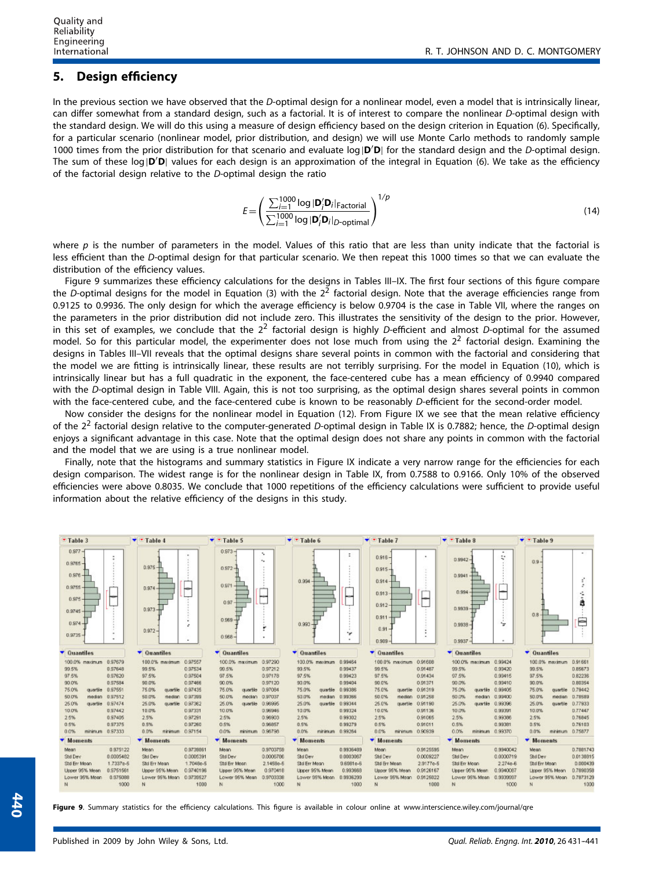#### **5. Design efficiency**

In the previous section we have observed that the *D*-optimal design for a nonlinear model, even a model that is intrinsically linear, can differ somewhat from a standard design, such as a factorial. It is of interest to compare the nonlinear *D*-optimal design with the standard design. We will do this using a measure of design efficiency based on the design criterion in Equation (6). Specifically, for a particular scenario (nonlinear model, prior distribution, and design) we will use Monte Carlo methods to randomly sample 1000 times from the prior distribution for that scenario and evaluate log|**D D**| for the standard design and the *D*-optimal design. The sum of these log|**D'D**| values for each design is an approximation of the integral in Equation (6). We take as the efficiency of the factorial design relative to the *D*-optimal design the ratio

$$
E = \left(\frac{\sum_{i=1}^{1000} \log |\mathbf{D}_i'\mathbf{D}_i|_{\text{Factorial}}}{\sum_{i=1}^{1000} \log |\mathbf{D}_i'\mathbf{D}_i|_{D\text{-optimal}}}\right)^{1/p}
$$
(14)

where p is the number of parameters in the model. Values of this ratio that are less than unity indicate that the factorial is less efficient than the *D*-optimal design for that particular scenario. We then repeat this 1000 times so that we can evaluate the distribution of the efficiency values.

Figure 9 summarizes these efficiency calculations for the designs in Tables III–IX. The first four sections of this figure compare the *D*-optimal designs for the model in Equation (3) with the 2<sup>2</sup> factorial design. Note that the average efficiencies range from 0.9125 to 0.9936. The only design for which the average efficiency is below 0.9704 is the case in Table VII, where the ranges on the parameters in the prior distribution did not include zero. This illustrates the sensitivity of the design to the prior. However, in this set of examples, we conclude that the 2<sup>2</sup> factorial design is highly *D*-efficient and almost *D*-optimal for the assumed model. So for this particular model, the experimenter does not lose much from using the  $2<sup>2</sup>$  factorial design. Examining the designs in Tables III–VII reveals that the optimal designs share several points in common with the factorial and considering that the model we are fitting is intrinsically linear, these results are not terribly surprising. For the model in Equation (10), which is intrinsically linear but has a full quadratic in the exponent, the face-centered cube has a mean efficiency of 0.9940 compared with the *D*-optimal design in Table VIII. Again, this is not too surprising, as the optimal design shares several points in common with the face-centered cube, and the face-centered cube is known to be reasonably *D*-efficient for the second-order model.

Now consider the designs for the nonlinear model in Equation (12). From Figure IX we see that the mean relative efficiency of the 22 factorial design relative to the computer-generated *D*-optimal design in Table IX is 0.7882; hence, the *D*-optimal design enjoys a significant advantage in this case. Note that the optimal design does not share any points in common with the factorial and the model that we are using is a true nonlinear model.

Finally, note that the histograms and summary statistics in Figure IX indicate a very narrow range for the efficiencies for each design comparison. The widest range is for the nonlinear design in Table IX, from 0.7588 to 0.9166. Only 10% of the observed efficiencies were above 0.8035. We conclude that 1000 repetitions of the efficiency calculations were sufficient to provide useful information about the relative efficiency of the designs in this study.

| * Table 3                                                                                                              | $\blacktriangledown$ Table 4                                   | * Table 5<br>▼                                                                                 | $\blacktriangledown$ $\blacktriangledown$ Table 6 | $\blacktriangledown$ $\blacktriangledown$ Table 7                                          | $\bullet$ Table 8                                                             | $\blacktriangledown$ $\blacktriangledown$ Table 9 |
|------------------------------------------------------------------------------------------------------------------------|----------------------------------------------------------------|------------------------------------------------------------------------------------------------|---------------------------------------------------|--------------------------------------------------------------------------------------------|-------------------------------------------------------------------------------|---------------------------------------------------|
| $0.977 -$<br>$0.9765 -$<br>$0.976 -$<br>$0.9755 -$<br><b>Hilling</b><br>$0.975 -$<br>$0.9745 -$<br>0.974<br>$0.9735 -$ | 0.975<br>and and<br>0.974<br>⊶<br>0.973<br>٠<br>×<br>$0.972 -$ | $0.973 -$<br>÷.<br>$\tau_{\rm B}$<br>$0.972 -$<br>0.971<br>-<br>0.97<br>$0.969 +$<br>$0.968 -$ | ÷<br>0.994<br>مسر<br>0.993<br>۰,                  | 0.916<br>$\cdot$<br>$0.915 -$<br>$0.914 -$<br>0.913<br>$0.912 -$<br>0.911<br>0.91<br>0.909 | $\cdot$<br>v<br>0.9942<br>0.9941<br>0.994<br>0.9939<br>٠,<br>0.9938<br>0.9937 | 0.9<br>0.8<br>₿                                   |
| ▼ Quantiles                                                                                                            | $\blacktriangleright$ Quantiles                                | ▼ Quantiles                                                                                    | ▼ Quantiles                                       | $\blacktriangleright$ Quantiles                                                            | ▼ Quantiles                                                                   | ▼ Quantiles                                       |
| 0.97679                                                                                                                | 0.97557                                                        | 0.97290                                                                                        | 0.99464                                           | 0.91608                                                                                    | 100.0% maximum                                                                | 0.91661                                           |
| 100.0% тахітып                                                                                                         | 100.0% maximum                                                 | 100.0% maximum                                                                                 | 100.0% maximum                                    | 100.0% maximum                                                                             | 0.99424                                                                       | 100.0% maximum                                    |
| 0.97648                                                                                                                | 99.5%                                                          | 0.97212                                                                                        | 99.5%                                             | 99.5%                                                                                      | 99.5%                                                                         | 0.85673                                           |
| 99.5%                                                                                                                  | 0.97534                                                        | 99.5%                                                                                          | 0.99437                                           | 0.91487                                                                                    | 0.99420                                                                       | 99.5%                                             |
| 97.5%                                                                                                                  | 97.5%                                                          | 97.5%                                                                                          | 97.5%                                             | 97.5%                                                                                      | 97.5%                                                                         | 97.5%                                             |
| 0.97620                                                                                                                | 0.97504                                                        | 0.97178                                                                                        | 0.99423                                           | 0.91434                                                                                    | 0.99415                                                                       | 0.82236                                           |
| 90.0%                                                                                                                  | 0.97466                                                        | 90.0%                                                                                          | 90.0%                                             | 90.0%                                                                                      | 90.0%                                                                         | 0.80354                                           |
| 0.97584                                                                                                                | 90.0%                                                          | 0.97120                                                                                        | 0.99404                                           | 0.91371                                                                                    | 0.93410                                                                       | 90.0%                                             |
| 75.0%<br>0.97551<br>quartile                                                                                           | 75.0%<br>0.97435<br>quartile                                   | 75.0%<br>0.97084<br>quartile.                                                                  | 75.0%<br>quartile<br>0.99386                      | 75.0%<br>quartile 0.91319                                                                  | 75.0%<br>quartile<br>0.99405                                                  | 0.79442<br>75.0%<br>quartile                      |
| 50.0%<br>0.97512<br>median                                                                                             | 50.0%<br>nedian<br>0.97399                                     | 50.0%<br>0.97037<br>median                                                                     | 50.0%<br>median<br>0.99366                        | 50.0%<br>median 0.91258                                                                    | 50.0%<br>median.<br>0.99400                                                   | 50.0%<br>0.78589<br>median                        |
| 25.0%<br>0.97474<br>quartie                                                                                            | 0.97362<br>25.0%<br>quartile                                   | 25.0%<br>0.96995<br>quartile.                                                                  | 25.0%<br>quartile 0.99344                         | 25.0%<br>quartile 0.91190                                                                  | 25.0%<br>0.99396<br>quartile                                                  | 0.77933<br>25.0%<br>quartile                      |
| 10.0%                                                                                                                  | 0.97331                                                        | 10.0%                                                                                          | 10.0%                                             | 0.91136                                                                                    | 10.0%                                                                         | 0.77447                                           |
| 0.97442                                                                                                                | 10.0%                                                          | 0.96946                                                                                        | 0.99324                                           | 10.0%                                                                                      | 0.99391                                                                       | 10.0%                                             |
| 2.5%                                                                                                                   | 2.5%                                                           | 2.5%                                                                                           | 2.5%                                              | 2.5%                                                                                       | 2.5%                                                                          | 2.5%                                              |
| 0.97405                                                                                                                | 0.97291                                                        | 0.96903                                                                                        | 0.99302                                           | 0.91065                                                                                    | 0.99386                                                                       | 0.76845                                           |
| 0.5%                                                                                                                   | 0.5%                                                           | 0.5%                                                                                           | 0.5%                                              | 0.5%                                                                                       | 0.5%                                                                          | 0.5%                                              |
| 0.97375                                                                                                                | 0.97260                                                        | 0.96857                                                                                        | 0.99279                                           | 0.91011                                                                                    | 0.99381                                                                       | 0.76103                                           |
| 0.0%<br>0.97333<br>minimum.                                                                                            | 0.0%<br>0.97154<br>minimum                                     | 0.0%<br>0.96798<br>minimum                                                                     | 0.0%<br>0.99264<br>minimum                        | 0.0%<br>minimum 0.90939                                                                    | 0.0%<br>minimum 0.93370                                                       | 0.0%<br>0.75877<br>minimum                        |
| <b>Moments</b>                                                                                                         | ▼ Moments                                                      | v Moments                                                                                      | ▼ Moments                                         | ▼ Moments                                                                                  | <i>v</i> Moments                                                              | ▼ Moments                                         |
| 0.975122                                                                                                               | 0.9739861                                                      | Mean.                                                                                          | 0.9936489                                         | 0.9125595                                                                                  | 0.9940042                                                                     | 0.7881743                                         |
| Mean                                                                                                                   | Mean                                                           | 0.9703759                                                                                      | Mean                                              | Mean                                                                                       | Mean                                                                          | Mean                                              |
| Std Dev                                                                                                                | 0.0005391                                                      | 0.0006766                                                                                      | Std Dev                                           | Std Dev                                                                                    | Std Dev                                                                       | 0.0138815                                         |
| 0.0005482                                                                                                              | Std Dev                                                        | Std Dev                                                                                        | 0.0003067                                         | 0.0009227                                                                                  | 0.0000719                                                                     | Std Dev                                           |
| Std Err Mean                                                                                                           | 1.7048e-5                                                      | 2.1458e-5                                                                                      | 9.6981e-6                                         | Std Err Mean                                                                               | Std Enr Mean                                                                  | 0.000439                                          |
| 1.7337e-5                                                                                                              | Std Err Mean                                                   | Std Err Mean                                                                                   | Std Err Mean                                      | 2.9177e-5                                                                                  | 2.274e-6                                                                      | Std Err Mean                                      |
| 0.9751561                                                                                                              | 0.9740196                                                      | 0.970418                                                                                       | 0.993668                                          | 0.9126167                                                                                  | Upper 95% Mean                                                                | 0.7890358                                         |
| Upper 95% Mean                                                                                                         | Upper 95% Mean                                                 | Upper 95% Mean                                                                                 | Upper 95% Mean                                    | Upper 95% Mean                                                                             | 0.9940067                                                                     | Lipper 95% Mean                                   |
| 0.975088                                                                                                               | 0.9739527                                                      | 0.9703338                                                                                      | 0.9936299                                         | 0.9125022                                                                                  | 0.9339997                                                                     | 0.7873129                                         |
| Lower 95% Mean                                                                                                         | Lower 95% Mean                                                 | Lower 95% Mean                                                                                 | Lower 95% Mean                                    | Lower 95% Mean                                                                             | Lower 95% Mean                                                                | Lower 95% Mean                                    |
|                                                                                                                        | 1000<br>N                                                      | 1000<br>1000<br>N                                                                              | 1000<br>N                                         | 1000<br>N                                                                                  | 1000<br>N                                                                     | 1000<br>N                                         |